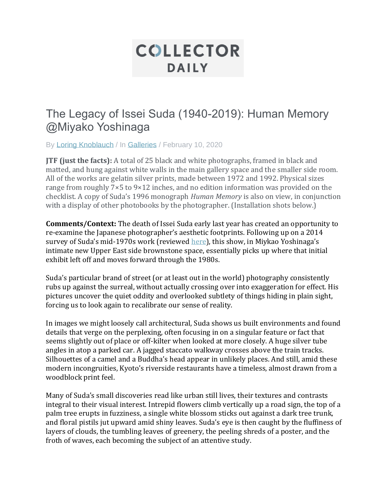## **COLLECTOR DAILY**

## The Legacy of Issei Suda (1940-2019): Human Memory @Miyako Yoshinaga

By [Loring Knoblauch](https://collectordaily.com/author/loring-knoblauch/) / In [Galleries](https://collectordaily.com/category/galleries/) / February 10, 2020

**JTF (just the facts):** A total of 25 black and white photographs, framed in black and matted, and hung against white walls in the main gallery space and the smaller side room. All of the works are gelatin silver prints, made between 1972 and 1992. Physical sizes range from roughly 7×5 to 9×12 inches, and no edition information was provided on the checklist. A copy of Suda's 1996 monograph *Human Memory* is also on view, in conjunction with a display of other photobooks by the photographer. (Installation shots below.)

**Comments/Context:** The death of Issei Suda early last year has created an opportunity to re-examine the Japanese photographer's aesthetic footprints. Following up on a 2014 survey of Suda's mid-1970s work (reviewed [here](https://collectordaily.com/issei-suda-life-in-flower-1971-1977-miyako-yoshinaga/)), this show, in Miykao Yoshinaga's intimate new Upper East side brownstone space, essentially picks up where that initial exhibit left off and moves forward through the 1980s.

Suda's particular brand of street (or at least out in the world) photography consistently rubs up against the surreal, without actually crossing over into exaggeration for effect. His pictures uncover the quiet oddity and overlooked subtlety of things hiding in plain sight, forcing us to look again to recalibrate our sense of reality.

In images we might loosely call architectural, Suda shows us built environments and found details that verge on the perplexing, often focusing in on a singular feature or fact that seems slightly out of place or off-kilter when looked at more closely. A huge silver tube angles in atop a parked car. A jagged staccato walkway crosses above the train tracks. Silhouettes of a camel and a Buddha's head appear in unlikely places. And still, amid these modern incongruities, Kyoto's riverside restaurants have a timeless, almost drawn from a woodblock print feel.

Many of Suda's small discoveries read like urban still lives, their textures and contrasts integral to their visual interest. Intrepid flowers climb vertically up a road sign, the top of a palm tree erupts in fuzziness, a single white blossom sticks out against a dark tree trunk, and floral pistils jut upward amid shiny leaves. Suda's eye is then caught by the fluffiness of layers of clouds, the tumbling leaves of greenery, the peeling shreds of a poster, and the froth of waves, each becoming the subject of an attentive study.